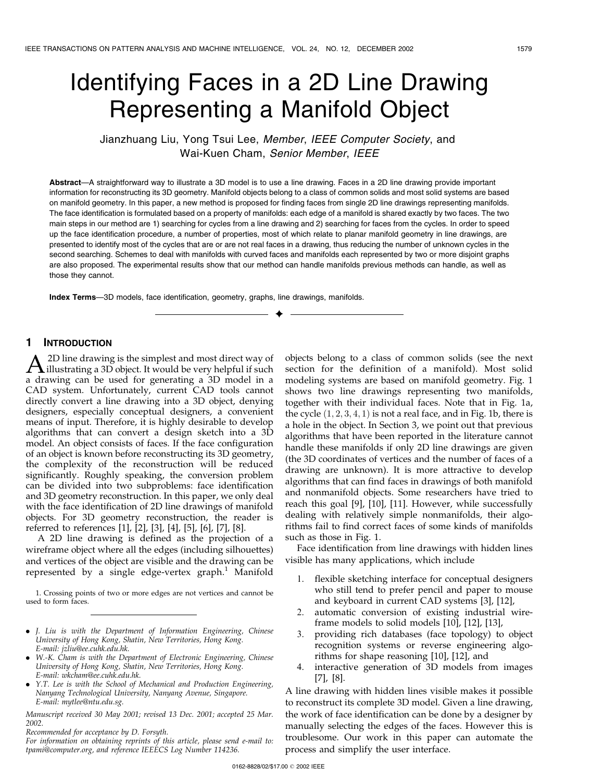# Identifying Faces in a 2D Line Drawing Representing a Manifold Object

Jianzhuang Liu, Yong Tsui Lee, Member, IEEE Computer Society, and Wai-Kuen Cham, Senior Member, IEEE

Abstract—A straightforward way to illustrate a 3D model is to use a line drawing. Faces in a 2D line drawing provide important information for reconstructing its 3D geometry. Manifold objects belong to a class of common solids and most solid systems are based on manifold geometry. In this paper, a new method is proposed for finding faces from single 2D line drawings representing manifolds. The face identification is formulated based on a property of manifolds: each edge of a manifold is shared exactly by two faces. The two main steps in our method are 1) searching for cycles from a line drawing and 2) searching for faces from the cycles. In order to speed up the face identification procedure, a number of properties, most of which relate to planar manifold geometry in line drawings, are presented to identify most of the cycles that are or are not real faces in a drawing, thus reducing the number of unknown cycles in the second searching. Schemes to deal with manifolds with curved faces and manifolds each represented by two or more disjoint graphs are also proposed. The experimental results show that our method can handle manifolds previous methods can handle, as well as those they cannot.

æ

Index Terms—3D models, face identification, geometry, graphs, line drawings, manifolds.

## 1 INTRODUCTION

 $\Delta$ <sup>2D</sup> line drawing is the simplest and most direct way of<br>a drawing can be used for generating a 3D model in a a drawing can be used for generating a 3D model in a CAD system. Unfortunately, current CAD tools cannot directly convert a line drawing into a 3D object, denying designers, especially conceptual designers, a convenient means of input. Therefore, it is highly desirable to develop algorithms that can convert a design sketch into a 3D model. An object consists of faces. If the face configuration of an object is known before reconstructing its 3D geometry, the complexity of the reconstruction will be reduced significantly. Roughly speaking, the conversion problem can be divided into two subproblems: face identification and 3D geometry reconstruction. In this paper, we only deal with the face identification of 2D line drawings of manifold objects. For 3D geometry reconstruction, the reader is referred to references [1], [2], [3], [4], [5], [6], [7], [8].

A 2D line drawing is defined as the projection of a wireframe object where all the edges (including silhouettes) and vertices of the object are visible and the drawing can be represented by a single edge-vertex graph.<sup>1</sup> Manifold

1. Crossing points of two or more edges are not vertices and cannot be used to form faces.

- . J. Liu is with the Department of Information Engineering, Chinese University of Hong Kong, Shatin, New Territories, Hong Kong. E-mail: jzliu@ee.cuhk.edu.hk.
- . W.-K. Cham is with the Department of Electronic Engineering, Chinese University of Hong Kong, Shatin, New Territories, Hong Kong. E-mail: wkcham@ee.cuhk.edu.hk.
- . Y.T. Lee is with the School of Mechanical and Production Engineering, Nanyang Technological University, Nanyang Avenue, Singapore. E-mail: mytlee@ntu.edu.sg.
- Manuscript received 30 May 2001; revised 13 Dec. 2001; accepted 25 Mar. 2002.

Recommended for acceptance by D. Forsyth.

For information on obtaining reprints of this article, please send e-mail to: tpami@computer.org, and reference IEEECS Log Number 114236.

objects belong to a class of common solids (see the next section for the definition of a manifold). Most solid modeling systems are based on manifold geometry. Fig. 1 shows two line drawings representing two manifolds, together with their individual faces. Note that in Fig. 1a, the cycle  $(1, 2, 3, 4, 1)$  is not a real face, and in Fig. 1b, there is a hole in the object. In Section 3, we point out that previous algorithms that have been reported in the literature cannot handle these manifolds if only 2D line drawings are given (the 3D coordinates of vertices and the number of faces of a drawing are unknown). It is more attractive to develop algorithms that can find faces in drawings of both manifold and nonmanifold objects. Some researchers have tried to reach this goal [9], [10], [11]. However, while successfully dealing with relatively simple nonmanifolds, their algorithms fail to find correct faces of some kinds of manifolds such as those in Fig. 1.

Face identification from line drawings with hidden lines visible has many applications, which include

- 1. flexible sketching interface for conceptual designers who still tend to prefer pencil and paper to mouse and keyboard in current CAD systems [3], [12],
- automatic conversion of existing industrial wireframe models to solid models [10], [12], [13],
- 3. providing rich databases (face topology) to object recognition systems or reverse engineering algorithms for shape reasoning [10], [12], and
- 4. interactive generation of 3D models from images [7], [8].

A line drawing with hidden lines visible makes it possible to reconstruct its complete 3D model. Given a line drawing, the work of face identification can be done by a designer by manually selecting the edges of the faces. However this is troublesome. Our work in this paper can automate the process and simplify the user interface.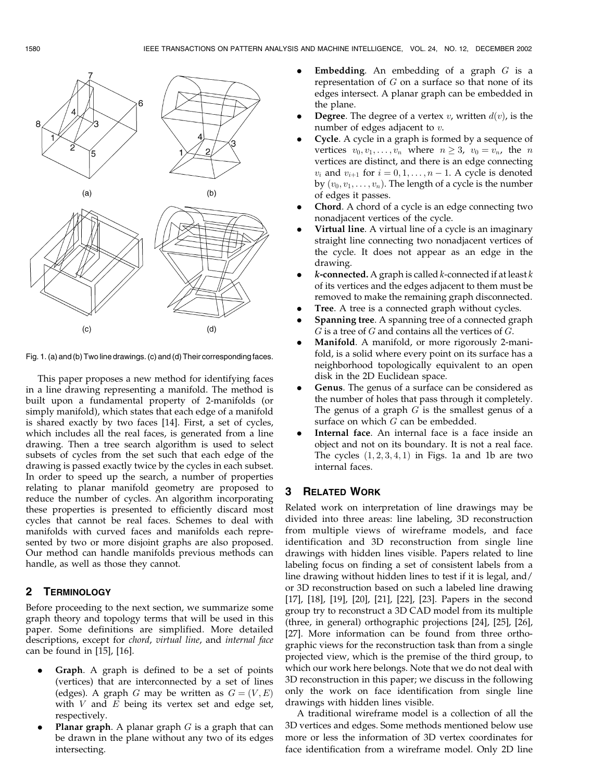

Fig. 1. (a) and (b) Two line drawings. (c) and (d) Their corresponding faces.

This paper proposes a new method for identifying faces in a line drawing representing a manifold. The method is built upon a fundamental property of 2-manifolds (or simply manifold), which states that each edge of a manifold is shared exactly by two faces [14]. First, a set of cycles, which includes all the real faces, is generated from a line drawing. Then a tree search algorithm is used to select subsets of cycles from the set such that each edge of the drawing is passed exactly twice by the cycles in each subset. In order to speed up the search, a number of properties relating to planar manifold geometry are proposed to reduce the number of cycles. An algorithm incorporating these properties is presented to efficiently discard most cycles that cannot be real faces. Schemes to deal with manifolds with curved faces and manifolds each represented by two or more disjoint graphs are also proposed. Our method can handle manifolds previous methods can handle, as well as those they cannot.

# 2 TERMINOLOGY

Before proceeding to the next section, we summarize some graph theory and topology terms that will be used in this paper. Some definitions are simplified. More detailed descriptions, except for chord, virtual line, and internal face can be found in [15], [16].

- . Graph. A graph is defined to be a set of points (vertices) that are interconnected by a set of lines (edges). A graph G may be written as  $G = (V, E)$ with  $V$  and  $E$  being its vertex set and edge set, respectively.
- **Planar graph**. A planar graph  $G$  is a graph that can be drawn in the plane without any two of its edges intersecting.
- **Embedding.** An embedding of a graph  $G$  is a representation of  $G$  on a surface so that none of its edges intersect. A planar graph can be embedded in the plane.
- **Degree**. The degree of a vertex  $v$ , written  $d(v)$ , is the number of edges adjacent to v.
- . Cycle. A cycle in a graph is formed by a sequence of vertices  $v_0, v_1, \ldots, v_n$  where  $n \geq 3$ ,  $v_0 = v_n$ , the n vertices are distinct, and there is an edge connecting  $v_i$  and  $v_{i+1}$  for  $i = 0, 1, \ldots, n - 1$ . A cycle is denoted by  $(v_0, v_1, \ldots, v_n)$ . The length of a cycle is the number of edges it passes.
- . Chord. A chord of a cycle is an edge connecting two nonadjacent vertices of the cycle.
- . Virtual line. A virtual line of a cycle is an imaginary straight line connecting two nonadjacent vertices of the cycle. It does not appear as an edge in the drawing.
- $k$ -connected. A graph is called  $k$ -connected if at least  $k$ of its vertices and the edges adjacent to them must be removed to make the remaining graph disconnected.
- Tree. A tree is a connected graph without cycles.
- Spanning tree. A spanning tree of a connected graph  $G$  is a tree of  $G$  and contains all the vertices of  $G$ .
- Manifold. A manifold, or more rigorously 2-manifold, is a solid where every point on its surface has a neighborhood topologically equivalent to an open disk in the 2D Euclidean space.
- . Genus. The genus of a surface can be considered as the number of holes that pass through it completely. The genus of a graph  $G$  is the smallest genus of a surface on which  $G$  can be embedded.
- . Internal face. An internal face is a face inside an object and not on its boundary. It is not a real face. The cycles  $(1, 2, 3, 4, 1)$  in Figs. 1a and 1b are two internal faces.

# 3 RELATED WORK

Related work on interpretation of line drawings may be divided into three areas: line labeling, 3D reconstruction from multiple views of wireframe models, and face identification and 3D reconstruction from single line drawings with hidden lines visible. Papers related to line labeling focus on finding a set of consistent labels from a line drawing without hidden lines to test if it is legal, and/ or 3D reconstruction based on such a labeled line drawing [17], [18], [19], [20], [21], [22], [23]. Papers in the second group try to reconstruct a 3D CAD model from its multiple (three, in general) orthographic projections [24], [25], [26], [27]. More information can be found from three orthographic views for the reconstruction task than from a single projected view, which is the premise of the third group, to which our work here belongs. Note that we do not deal with 3D reconstruction in this paper; we discuss in the following only the work on face identification from single line drawings with hidden lines visible.

A traditional wireframe model is a collection of all the 3D vertices and edges. Some methods mentioned below use more or less the information of 3D vertex coordinates for face identification from a wireframe model. Only 2D line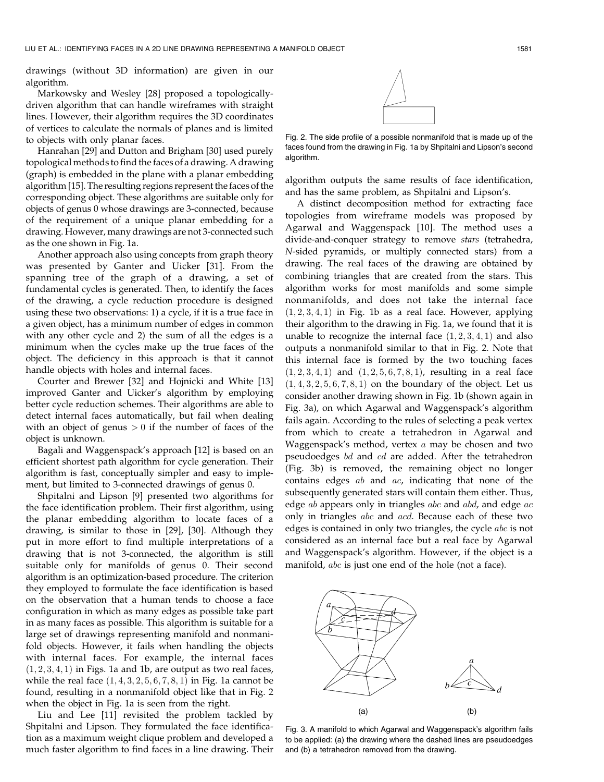drawings (without 3D information) are given in our algorithm.

Markowsky and Wesley [28] proposed a topologicallydriven algorithm that can handle wireframes with straight lines. However, their algorithm requires the 3D coordinates of vertices to calculate the normals of planes and is limited to objects with only planar faces.

Hanrahan [29] and Dutton and Brigham [30] used purely topological methods to find the faces of a drawing. A drawing (graph) is embedded in the plane with a planar embedding algorithm [15]. The resulting regions represent the faces of the corresponding object. These algorithms are suitable only for objects of genus 0 whose drawings are 3-connected, because of the requirement of a unique planar embedding for a drawing. However, many drawings are not 3-connected such as the one shown in Fig. 1a.

Another approach also using concepts from graph theory was presented by Ganter and Uicker [31]. From the spanning tree of the graph of a drawing, a set of fundamental cycles is generated. Then, to identify the faces of the drawing, a cycle reduction procedure is designed using these two observations: 1) a cycle, if it is a true face in a given object, has a minimum number of edges in common with any other cycle and 2) the sum of all the edges is a minimum when the cycles make up the true faces of the object. The deficiency in this approach is that it cannot handle objects with holes and internal faces.

Courter and Brewer [32] and Hojnicki and White [13] improved Ganter and Uicker's algorithm by employing better cycle reduction schemes. Their algorithms are able to detect internal faces automatically, but fail when dealing with an object of genus  $> 0$  if the number of faces of the object is unknown.

Bagali and Waggenspack's approach [12] is based on an efficient shortest path algorithm for cycle generation. Their algorithm is fast, conceptually simpler and easy to implement, but limited to 3-connected drawings of genus 0.

Shpitalni and Lipson [9] presented two algorithms for the face identification problem. Their first algorithm, using the planar embedding algorithm to locate faces of a drawing, is similar to those in [29], [30]. Although they put in more effort to find multiple interpretations of a drawing that is not 3-connected, the algorithm is still suitable only for manifolds of genus 0. Their second algorithm is an optimization-based procedure. The criterion they employed to formulate the face identification is based on the observation that a human tends to choose a face configuration in which as many edges as possible take part in as many faces as possible. This algorithm is suitable for a large set of drawings representing manifold and nonmanifold objects. However, it fails when handling the objects with internal faces. For example, the internal faces  $(1, 2, 3, 4, 1)$  in Figs. 1a and 1b, are output as two real faces, while the real face  $(1, 4, 3, 2, 5, 6, 7, 8, 1)$  in Fig. 1a cannot be found, resulting in a nonmanifold object like that in Fig. 2 when the object in Fig. 1a is seen from the right.

Liu and Lee [11] revisited the problem tackled by Shpitalni and Lipson. They formulated the face identification as a maximum weight clique problem and developed a much faster algorithm to find faces in a line drawing. Their



Fig. 2. The side profile of a possible nonmanifold that is made up of the faces found from the drawing in Fig. 1a by Shpitalni and Lipson's second algorithm.

algorithm outputs the same results of face identification, and has the same problem, as Shpitalni and Lipson's.

A distinct decomposition method for extracting face topologies from wireframe models was proposed by Agarwal and Waggenspack [10]. The method uses a divide-and-conquer strategy to remove stars (tetrahedra, N-sided pyramids, or multiply connected stars) from a drawing. The real faces of the drawing are obtained by combining triangles that are created from the stars. This algorithm works for most manifolds and some simple nonmanifolds, and does not take the internal face  $(1, 2, 3, 4, 1)$  in Fig. 1b as a real face. However, applying their algorithm to the drawing in Fig. 1a, we found that it is unable to recognize the internal face  $(1, 2, 3, 4, 1)$  and also outputs a nonmanifold similar to that in Fig. 2. Note that this internal face is formed by the two touching faces  $(1, 2, 3, 4, 1)$  and  $(1, 2, 5, 6, 7, 8, 1)$ , resulting in a real face  $(1, 4, 3, 2, 5, 6, 7, 8, 1)$  on the boundary of the object. Let us consider another drawing shown in Fig. 1b (shown again in Fig. 3a), on which Agarwal and Waggenspack's algorithm fails again. According to the rules of selecting a peak vertex from which to create a tetrahedron in Agarwal and Waggenspack's method, vertex  $a$  may be chosen and two pseudoedges bd and cd are added. After the tetrahedron (Fig. 3b) is removed, the remaining object no longer contains edges  $ab$  and  $ac$ , indicating that none of the subsequently generated stars will contain them either. Thus, edge  $ab$  appears only in triangles  $abc$  and  $abd$ , and edge  $ac$ only in triangles abc and acd. Because each of these two edges is contained in only two triangles, the cycle abc is not considered as an internal face but a real face by Agarwal and Waggenspack's algorithm. However, if the object is a manifold, abc is just one end of the hole (not a face).



Fig. 3. A manifold to which Agarwal and Waggenspack's algorithm fails to be applied: (a) the drawing where the dashed lines are pseudoedges and (b) a tetrahedron removed from the drawing.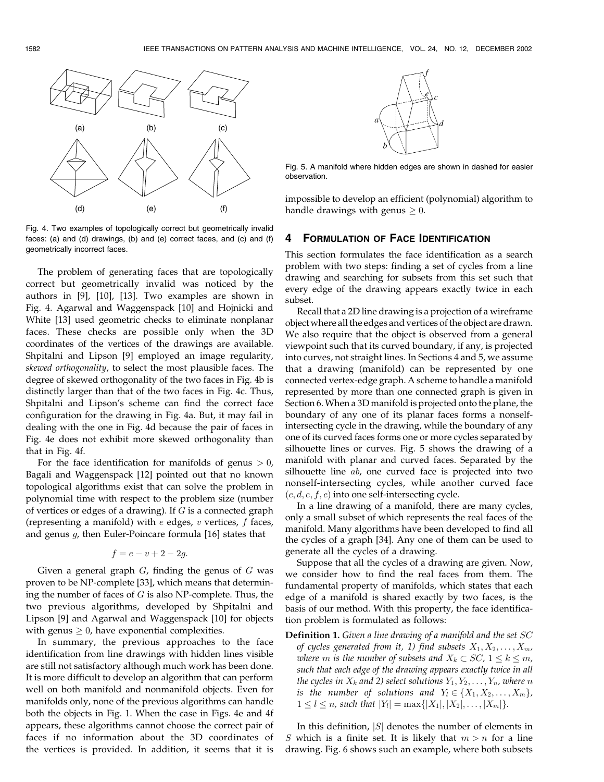

Fig. 4. Two examples of topologically correct but geometrically invalid faces: (a) and (d) drawings, (b) and (e) correct faces, and (c) and (f) geometrically incorrect faces.

The problem of generating faces that are topologically correct but geometrically invalid was noticed by the authors in [9], [10], [13]. Two examples are shown in Fig. 4. Agarwal and Waggenspack [10] and Hojnicki and White [13] used geometric checks to eliminate nonplanar faces. These checks are possible only when the 3D coordinates of the vertices of the drawings are available. Shpitalni and Lipson [9] employed an image regularity, skewed orthogonality, to select the most plausible faces. The degree of skewed orthogonality of the two faces in Fig. 4b is distinctly larger than that of the two faces in Fig. 4c. Thus, Shpitalni and Lipson's scheme can find the correct face configuration for the drawing in Fig. 4a. But, it may fail in dealing with the one in Fig. 4d because the pair of faces in Fig. 4e does not exhibit more skewed orthogonality than that in Fig. 4f.

For the face identification for manifolds of genus  $> 0$ , Bagali and Waggenspack [12] pointed out that no known topological algorithms exist that can solve the problem in polynomial time with respect to the problem size (number of vertices or edges of a drawing). If  $G$  is a connected graph (representing a manifold) with  $e$  edges,  $v$  vertices,  $f$  faces, and genus  $g$ , then Euler-Poincare formula  $[16]$  states that

$$
f = e - v + 2 - 2g.
$$

Given a general graph  $G$ , finding the genus of  $G$  was proven to be NP-complete [33], which means that determining the number of faces of  $G$  is also NP-complete. Thus, the two previous algorithms, developed by Shpitalni and Lipson [9] and Agarwal and Waggenspack [10] for objects with genus  $\geq 0$ , have exponential complexities.

In summary, the previous approaches to the face identification from line drawings with hidden lines visible are still not satisfactory although much work has been done. It is more difficult to develop an algorithm that can perform well on both manifold and nonmanifold objects. Even for manifolds only, none of the previous algorithms can handle both the objects in Fig. 1. When the case in Figs. 4e and 4f appears, these algorithms cannot choose the correct pair of faces if no information about the 3D coordinates of the vertices is provided. In addition, it seems that it is



Fig. 5. A manifold where hidden edges are shown in dashed for easier observation.

impossible to develop an efficient (polynomial) algorithm to handle drawings with genus  $\geq 0$ .

## 4 FORMULATION OF FACE IDENTIFICATION

This section formulates the face identification as a search problem with two steps: finding a set of cycles from a line drawing and searching for subsets from this set such that every edge of the drawing appears exactly twice in each subset.

Recall that a 2D line drawing is a projection of a wireframe object where all the edges and vertices of the object are drawn. We also require that the object is observed from a general viewpoint such that its curved boundary, if any, is projected into curves, not straight lines. In Sections 4 and 5, we assume that a drawing (manifold) can be represented by one connected vertex-edge graph. A scheme to handle a manifold represented by more than one connected graph is given in Section 6. When a 3D manifold is projected onto the plane, the boundary of any one of its planar faces forms a nonselfintersecting cycle in the drawing, while the boundary of any one of its curved faces forms one or more cycles separated by silhouette lines or curves. Fig. 5 shows the drawing of a manifold with planar and curved faces. Separated by the silhouette line *ab*, one curved face is projected into two nonself-intersecting cycles, while another curved face  $(c, d, e, f, c)$  into one self-intersecting cycle.

In a line drawing of a manifold, there are many cycles, only a small subset of which represents the real faces of the manifold. Many algorithms have been developed to find all the cycles of a graph [34]. Any one of them can be used to generate all the cycles of a drawing.

Suppose that all the cycles of a drawing are given. Now, we consider how to find the real faces from them. The fundamental property of manifolds, which states that each edge of a manifold is shared exactly by two faces, is the basis of our method. With this property, the face identification problem is formulated as follows:

**Definition 1.** Given a line drawing of a manifold and the set  $SC$ of cycles generated from it, 1) find subsets  $X_1, X_2, \ldots, X_m$ , where m is the number of subsets and  $X_k \subset SC$ ,  $1 \leq k \leq m$ , such that each edge of the drawing appears exactly twice in all the cycles in  $X_k$  and 2) select solutions  $Y_1, Y_2, \ldots, Y_n$ , where n is the number of solutions and  $Y_l \in \{X_1, X_2, \ldots, X_m\}$ ,  $1 \leq l \leq n$ , such that  $|Y_l| = \max\{|X_1|, |X_2|, \ldots, |X_m|\}.$ 

In this definition,  $|S|$  denotes the number of elements in S which is a finite set. It is likely that  $m > n$  for a line drawing. Fig. 6 shows such an example, where both subsets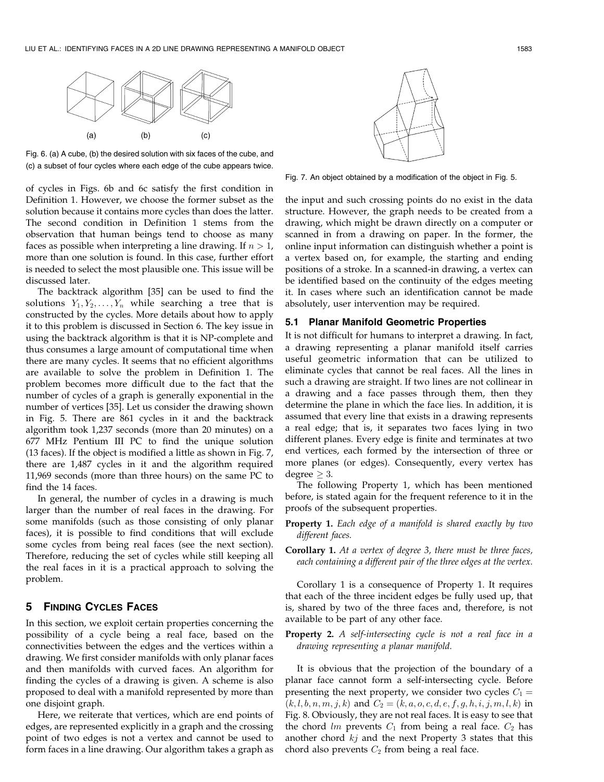

Fig. 6. (a) A cube, (b) the desired solution with six faces of the cube, and (c) a subset of four cycles where each edge of the cube appears twice.

of cycles in Figs. 6b and 6c satisfy the first condition in Definition 1. However, we choose the former subset as the solution because it contains more cycles than does the latter. The second condition in Definition 1 stems from the observation that human beings tend to choose as many faces as possible when interpreting a line drawing. If  $n > 1$ , more than one solution is found. In this case, further effort is needed to select the most plausible one. This issue will be discussed later.

The backtrack algorithm [35] can be used to find the solutions  $Y_1, Y_2, \ldots, Y_n$  while searching a tree that is constructed by the cycles. More details about how to apply it to this problem is discussed in Section 6. The key issue in using the backtrack algorithm is that it is NP-complete and thus consumes a large amount of computational time when there are many cycles. It seems that no efficient algorithms are available to solve the problem in Definition 1. The problem becomes more difficult due to the fact that the number of cycles of a graph is generally exponential in the number of vertices [35]. Let us consider the drawing shown in Fig. 5. There are 861 cycles in it and the backtrack algorithm took 1,237 seconds (more than 20 minutes) on a 677 MHz Pentium III PC to find the unique solution (13 faces). If the object is modified a little as shown in Fig. 7, there are 1,487 cycles in it and the algorithm required 11,969 seconds (more than three hours) on the same PC to find the 14 faces.

In general, the number of cycles in a drawing is much larger than the number of real faces in the drawing. For some manifolds (such as those consisting of only planar faces), it is possible to find conditions that will exclude some cycles from being real faces (see the next section). Therefore, reducing the set of cycles while still keeping all the real faces in it is a practical approach to solving the problem.

## 5 FINDING CYCLES FACES

In this section, we exploit certain properties concerning the possibility of a cycle being a real face, based on the connectivities between the edges and the vertices within a drawing. We first consider manifolds with only planar faces and then manifolds with curved faces. An algorithm for finding the cycles of a drawing is given. A scheme is also proposed to deal with a manifold represented by more than one disjoint graph.

Here, we reiterate that vertices, which are end points of edges, are represented explicitly in a graph and the crossing point of two edges is not a vertex and cannot be used to form faces in a line drawing. Our algorithm takes a graph as



Fig. 7. An object obtained by a modification of the object in Fig. 5.

the input and such crossing points do no exist in the data structure. However, the graph needs to be created from a drawing, which might be drawn directly on a computer or scanned in from a drawing on paper. In the former, the online input information can distinguish whether a point is a vertex based on, for example, the starting and ending positions of a stroke. In a scanned-in drawing, a vertex can be identified based on the continuity of the edges meeting it. In cases where such an identification cannot be made absolutely, user intervention may be required.

#### 5.1 Planar Manifold Geometric Properties

It is not difficult for humans to interpret a drawing. In fact, a drawing representing a planar manifold itself carries useful geometric information that can be utilized to eliminate cycles that cannot be real faces. All the lines in such a drawing are straight. If two lines are not collinear in a drawing and a face passes through them, then they determine the plane in which the face lies. In addition, it is assumed that every line that exists in a drawing represents a real edge; that is, it separates two faces lying in two different planes. Every edge is finite and terminates at two end vertices, each formed by the intersection of three or more planes (or edges). Consequently, every vertex has degree  $>$  3.

The following Property 1, which has been mentioned before, is stated again for the frequent reference to it in the proofs of the subsequent properties.

Property 1. Each edge of a manifold is shared exactly by two different faces.

Corollary 1. At a vertex of degree 3, there must be three faces, each containing a different pair of the three edges at the vertex.

Corollary 1 is a consequence of Property 1. It requires that each of the three incident edges be fully used up, that is, shared by two of the three faces and, therefore, is not available to be part of any other face.

Property 2. A self-intersecting cycle is not a real face in a drawing representing a planar manifold.

It is obvious that the projection of the boundary of a planar face cannot form a self-intersecting cycle. Before presenting the next property, we consider two cycles  $C_1$  =  $(k, l, b, n, m, j, k)$  and  $C_2 = (k, a, o, c, d, e, f, g, h, i, j, m, l, k)$  in Fig. 8. Obviously, they are not real faces. It is easy to see that the chord  $lm$  prevents  $C_1$  from being a real face.  $C_2$  has another chord  $kj$  and the next Property 3 states that this chord also prevents  $C_2$  from being a real face.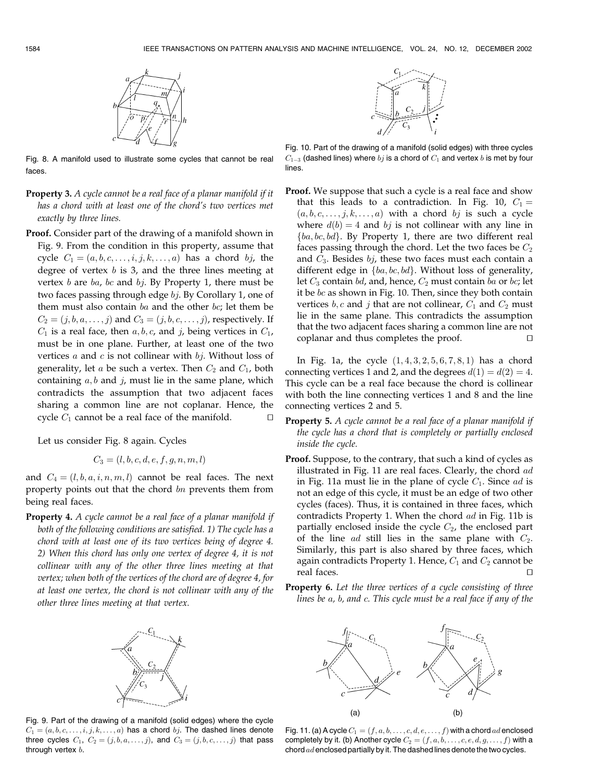

Fig. 8. A manifold used to illustrate some cycles that cannot be real faces.

- Property 3. A cycle cannot be a real face of a planar manifold if it has a chord with at least one of the chord's two vertices met exactly by three lines.
- Proof. Consider part of the drawing of a manifold shown in Fig. 9. From the condition in this property, assume that cycle  $C_1 = (a, b, c, \dots, i, j, k, \dots, a)$  has a chord bj, the degree of vertex  $b$  is 3, and the three lines meeting at vertex  $b$  are  $ba$ ,  $bc$  and  $bj$ . By Property 1, there must be two faces passing through edge bj. By Corollary 1, one of them must also contain  $ba$  and the other  $bc$ ; let them be  $C_2 = (j, b, a, \dots, j)$  and  $C_3 = (j, b, c, \dots, j)$ , respectively. If  $C_1$  is a real face, then  $a, b, c$ , and j, being vertices in  $C_1$ , must be in one plane. Further, at least one of the two vertices  $a$  and  $c$  is not collinear with  $bj$ . Without loss of generality, let  $a$  be such a vertex. Then  $C_2$  and  $C_1$ , both containing  $a, b$  and  $j$ , must lie in the same plane, which contradicts the assumption that two adjacent faces sharing a common line are not coplanar. Hence, the cycle  $C_1$  cannot be a real face of the manifold.  $\square$

Let us consider Fig. 8 again. Cycles

$$
C_3 = (l, b, c, d, e, f, g, n, m, l)
$$

and  $C_4 = (l, b, a, i, n, m, l)$  cannot be real faces. The next property points out that the chord bn prevents them from being real faces.

Property 4. A cycle cannot be a real face of a planar manifold if both of the following conditions are satisfied. 1) The cycle has a chord with at least one of its two vertices being of degree 4. 2) When this chord has only one vertex of degree 4, it is not collinear with any of the other three lines meeting at that vertex; when both of the vertices of the chord are of degree 4, for at least one vertex, the chord is not collinear with any of the other three lines meeting at that vertex.



Fig. 9. Part of the drawing of a manifold (solid edges) where the cycle  $C_1 = (a, b, c, \ldots, i, j, k, \ldots, a)$  has a chord bj. The dashed lines denote three cycles  $C_1$ ,  $C_2 = (j, b, a, \ldots, j)$ , and  $C_3 = (j, b, c, \ldots, j)$  that pass through vertex  $b$ .



Fig. 10. Part of the drawing of a manifold (solid edges) with three cycles  $C_{1-3}$  (dashed lines) where  $bj$  is a chord of  $C_1$  and vertex  $b$  is met by four lines.

Proof. We suppose that such a cycle is a real face and show that this leads to a contradiction. In Fig. 10,  $C_1 =$  $(a, b, c, \ldots, j, k, \ldots, a)$  with a chord bj is such a cycle where  $d(b) = 4$  and bj is not collinear with any line in  ${ba, bc, bd}$ . By Property 1, there are two different real faces passing through the chord. Let the two faces be  $C_2$ and  $C_3$ . Besides  $bj$ , these two faces must each contain a different edge in  ${ba, bc, bd}$ . Without loss of generality, let  $C_3$  contain bd, and, hence,  $C_2$  must contain ba or bc; let it be  $bc$  as shown in Fig. 10. Then, since they both contain vertices  $b, c$  and  $j$  that are not collinear,  $C_1$  and  $C_2$  must lie in the same plane. This contradicts the assumption that the two adjacent faces sharing a common line are not coplanar and thus completes the proof.  $\Box$ 

In Fig. 1a, the cycle  $(1, 4, 3, 2, 5, 6, 7, 8, 1)$  has a chord connecting vertices 1 and 2, and the degrees  $d(1) = d(2) = 4$ . This cycle can be a real face because the chord is collinear with both the line connecting vertices 1 and 8 and the line connecting vertices 2 and 5.

- **Property 5.** A cycle cannot be a real face of a planar manifold if the cycle has a chord that is completely or partially enclosed inside the cycle.
- Proof. Suppose, to the contrary, that such a kind of cycles as illustrated in Fig. 11 are real faces. Clearly, the chord  $ad$ in Fig. 11a must lie in the plane of cycle  $C_1$ . Since ad is not an edge of this cycle, it must be an edge of two other cycles (faces). Thus, it is contained in three faces, which contradicts Property 1. When the chord ad in Fig. 11b is partially enclosed inside the cycle  $C_2$ , the enclosed part of the line *ad* still lies in the same plane with  $C_2$ . Similarly, this part is also shared by three faces, which again contradicts Property 1. Hence,  $C_1$  and  $C_2$  cannot be real faces.
- **Property 6.** Let the three vertices of a cycle consisting of three lines be a, b, and c. This cycle must be a real face if any of the



Fig. 11. (a) A cycle  $C_1 = (f, a, b, \ldots, c, d, e, \ldots, f)$  with a chord  $ad$  enclosed completely by it. (b) Another cycle  $C_2 = (f, a, b, \ldots, c, e, d, g, \ldots, f)$  with a chord  $ad$  enclosed partially by it. The dashed lines denote the two cycles.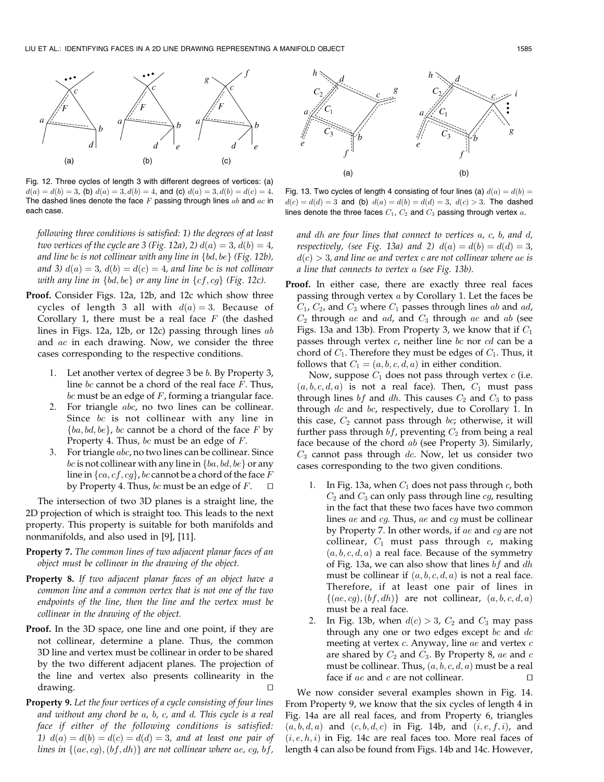

Fig. 12. Three cycles of length 3 with different degrees of vertices: (a)  $d(a) = d(b) = 3$ , (b)  $d(a) = 3$ ,  $d(b) = 4$ , and (c)  $d(a) = 3$ ,  $d(b) = d(c) = 4$ . The dashed lines denote the face  $F$  passing through lines  $ab$  and  $ac$  in each case.

following three conditions is satisfied: 1) the degrees of at least two vertices of the cycle are 3 (Fig. 12a), 2)  $d(a) = 3$ ,  $d(b) = 4$ , and line bc is not collinear with any line in  $\{bd, be\}$  (Fig. 12b), and 3)  $d(a) = 3$ ,  $d(b) = d(c) = 4$ , and line bc is not collinear with any line in  $\{bd, be\}$  or any line in  $\{cf, cg\}$  (Fig. 12c).

- Proof. Consider Figs. 12a, 12b, and 12c which show three cycles of length 3 all with  $d(a) = 3$ . Because of Corollary 1, there must be a real face  $F$  (the dashed lines in Figs. 12a, 12b, or 12c) passing through lines ab and ac in each drawing. Now, we consider the three cases corresponding to the respective conditions.
	- 1. Let another vertex of degree 3 be b. By Property 3, line  $bc$  cannot be a chord of the real face  $F$ . Thus, bc must be an edge of  $F$ , forming a triangular face.
	- 2. For triangle abc, no two lines can be collinear. Since  $bc$  is not collinear with any line in  $\{ba, bd, be\}$ , bc cannot be a chord of the face F by Property 4. Thus, bc must be an edge of F.
	- 3. For triangle abc, no two lines can be collinear. Since bc is not collinear with any line in  $\{ba, bd, be\}$  or any line in  $\{ca, cf, cg\}$ , bc cannot be a chord of the face F by Property 4. Thus, bc must be an edge of  $F$ .  $\Box$

The intersection of two 3D planes is a straight line, the 2D projection of which is straight too. This leads to the next property. This property is suitable for both manifolds and nonmanifolds, and also used in [9], [11].

- Property 7. The common lines of two adjacent planar faces of an object must be collinear in the drawing of the object.
- **Property 8.** If two adjacent planar faces of an object have a common line and a common vertex that is not one of the two endpoints of the line, then the line and the vertex must be collinear in the drawing of the object.
- Proof. In the 3D space, one line and one point, if they are not collinear, determine a plane. Thus, the common 3D line and vertex must be collinear in order to be shared by the two different adjacent planes. The projection of the line and vertex also presents collinearity in the drawing.  $\Box$
- **Property 9.** Let the four vertices of a cycle consisting of four lines and without any chord be a, b, c, and d. This cycle is a real face if either of the following conditions is satisfied: 1)  $d(a) = d(b) = d(c) = d(d) = 3$ , and at least one pair of lines in  $\{(ae, cg), (bf, dh)\}$  are not collinear where ae, cg, bf,



Fig. 13. Two cycles of length 4 consisting of four lines (a)  $d(a) = d(b) =$  $d(c) = d(d) = 3$  and (b)  $d(a) = d(b) = d(d) = 3$ ,  $d(c) > 3$ . The dashed lines denote the three faces  $C_1$ ,  $C_2$  and  $C_3$  passing through vertex  $a$ .

and dh are four lines that connect to vertices  $a, c, b$ , and  $d, d$ respectively, (see Fig. 13a) and 2)  $d(a) = d(b) = d(d) = 3$ ,  $d(c) > 3$ , and line ae and vertex c are not collinear where ae is a line that connects to vertex a (see Fig. 13b).

Proof. In either case, there are exactly three real faces passing through vertex a by Corollary 1. Let the faces be  $C_1$ ,  $C_2$ , and  $C_3$  where  $C_1$  passes through lines ab and ad,  $C_2$  through ae and ad, and  $C_3$  through ae and ab (see Figs. 13a and 13b). From Property 3, we know that if  $C_1$ passes through vertex  $c$ , neither line  $bc$  nor  $cd$  can be a chord of  $C_1$ . Therefore they must be edges of  $C_1$ . Thus, it follows that  $C_1 = (a, b, c, d, a)$  in either condition.

Now, suppose  $C_1$  does not pass through vertex  $c$  (i.e.  $(a, b, c, d, a)$  is not a real face). Then,  $C_1$  must pass through lines bf and dh. This causes  $C_2$  and  $C_3$  to pass through  $dc$  and  $bc$ , respectively, due to Corollary 1. In this case,  $C_2$  cannot pass through bc; otherwise, it will further pass through  $bf$ , preventing  $C_2$  from being a real face because of the chord *ab* (see Property 3). Similarly,  $C_3$  cannot pass through dc. Now, let us consider two cases corresponding to the two given conditions.

- 1. In Fig. 13a, when  $C_1$  does not pass through  $c$ , both  $C_2$  and  $C_3$  can only pass through line  $cg$ , resulting in the fact that these two faces have two common lines ae and cg. Thus, ae and cg must be collinear by Property 7. In other words, if ae and cg are not collinear,  $C_1$  must pass through  $c$ , making  $(a, b, c, d, a)$  a real face. Because of the symmetry of Fig. 13a, we can also show that lines  $bf$  and  $dh$ must be collinear if  $(a, b, c, d, a)$  is not a real face. Therefore, if at least one pair of lines in  $\{(ae, cg), (bf, dh)\}\$  are not collinear,  $(a, b, c, d, a)$ must be a real face.
- 2. In Fig. 13b, when  $d(c) > 3$ ,  $C_2$  and  $C_3$  may pass through any one or two edges except  $bc$  and  $dc$ meeting at vertex  $c$ . Anyway, line  $ae$  and vertex  $c$ are shared by  $C_2$  and  $C_3$ . By Property 8, ae and  $c$ must be collinear. Thus,  $(a, b, c, d, a)$  must be a real face if  $ae$  and  $c$  are not collinear.

We now consider several examples shown in Fig. 14. From Property 9, we know that the six cycles of length 4 in Fig. 14a are all real faces, and from Property 6, triangles  $(a, b, d, a)$  and  $(c, b, d, c)$  in Fig. 14b, and  $(i, e, f, i)$ , and  $(i, e, h, i)$  in Fig. 14c are real faces too. More real faces of length 4 can also be found from Figs. 14b and 14c. However,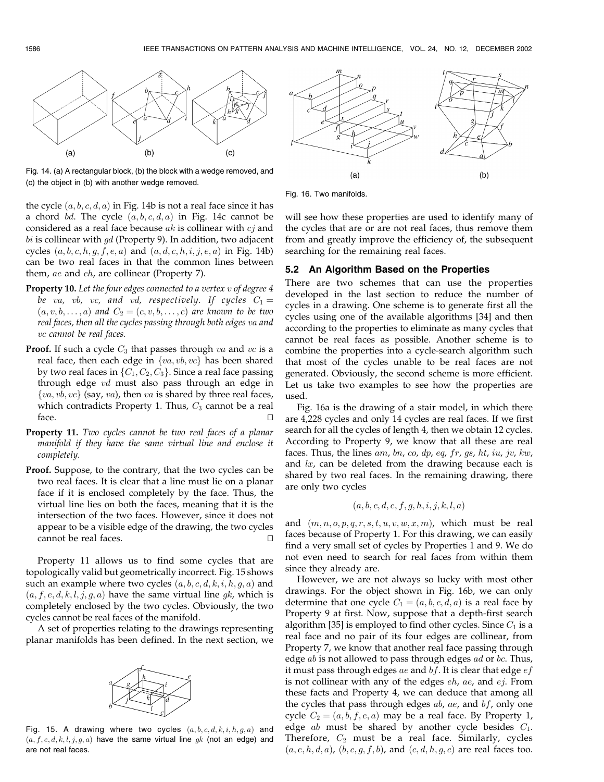

Fig. 14. (a) A rectangular block, (b) the block with a wedge removed, and (c) the object in (b) with another wedge removed.



- Property 10. Let the four edges connected to a vertex v of degree 4 be va, vb, vc, and vd, respectively. If cycles  $C_1 =$  $(a, v, b, \ldots, a)$  and  $C_2 = (c, v, b, \ldots, c)$  are known to be two real faces, then all the cycles passing through both edges va and vc cannot be real faces.
- **Proof.** If such a cycle  $C_3$  that passes through va and vc is a real face, then each edge in  $\{va, vb, vc\}$  has been shared by two real faces in  $\{C_1, C_2, C_3\}$ . Since a real face passing through edge vd must also pass through an edge in  $\{va, vb, vc\}$  (say, va), then va is shared by three real faces, which contradicts Property 1. Thus,  $C_3$  cannot be a real face.  $\Box$
- **Property 11.** Two cycles cannot be two real faces of a planar manifold if they have the same virtual line and enclose it completely.
- Proof. Suppose, to the contrary, that the two cycles can be two real faces. It is clear that a line must lie on a planar face if it is enclosed completely by the face. Thus, the virtual line lies on both the faces, meaning that it is the intersection of the two faces. However, since it does not appear to be a visible edge of the drawing, the two cycles cannot be real faces.  $\Box$

Property 11 allows us to find some cycles that are topologically valid but geometrically incorrect. Fig. 15 shows such an example where two cycles  $(a, b, c, d, k, i, h, g, a)$  and  $(a, f, e, d, k, l, j, g, a)$  have the same virtual line gk, which is completely enclosed by the two cycles. Obviously, the two cycles cannot be real faces of the manifold.

A set of properties relating to the drawings representing planar manifolds has been defined. In the next section, we



Fig. 15. A drawing where two cycles  $(a, b, c, d, k, i, h, g, a)$  and  $(a, f, e, d, k, l, j, g, a)$  have the same virtual line gk (not an edge) and are not real faces.



Fig. 16. Two manifolds.

will see how these properties are used to identify many of the cycles that are or are not real faces, thus remove them from and greatly improve the efficiency of, the subsequent searching for the remaining real faces.

### 5.2 An Algorithm Based on the Properties

There are two schemes that can use the properties developed in the last section to reduce the number of cycles in a drawing. One scheme is to generate first all the cycles using one of the available algorithms [34] and then according to the properties to eliminate as many cycles that cannot be real faces as possible. Another scheme is to combine the properties into a cycle-search algorithm such that most of the cycles unable to be real faces are not generated. Obviously, the second scheme is more efficient. Let us take two examples to see how the properties are used.

Fig. 16a is the drawing of a stair model, in which there are 4,228 cycles and only 14 cycles are real faces. If we first search for all the cycles of length 4, then we obtain 12 cycles. According to Property 9, we know that all these are real faces. Thus, the lines  $am$ ,  $bn$ ,  $co$ ,  $dp$ ,  $eq$ ,  $fr$ ,  $gs$ ,  $ht$ ,  $iu$ ,  $jv$ ,  $kw$ , and  $lx$ , can be deleted from the drawing because each is shared by two real faces. In the remaining drawing, there are only two cycles

$$
(a, b, c, d, e, f, g, h, i, j, k, l, a)
$$

and  $(m, n, o, p, q, r, s, t, u, v, w, x, m)$ , which must be real faces because of Property 1. For this drawing, we can easily find a very small set of cycles by Properties 1 and 9. We do not even need to search for real faces from within them since they already are.

However, we are not always so lucky with most other drawings. For the object shown in Fig. 16b, we can only determine that one cycle  $C_1 = (a, b, c, d, a)$  is a real face by Property 9 at first. Now, suppose that a depth-first search algorithm [35] is employed to find other cycles. Since  $C_1$  is a real face and no pair of its four edges are collinear, from Property 7, we know that another real face passing through edge *ab* is not allowed to pass through edges *ad* or *bc*. Thus, it must pass through edges  $ae$  and  $bf$ . It is clear that edge  $ef$ is not collinear with any of the edges  $eh$ ,  $ae$ , and  $ej$ . From these facts and Property 4, we can deduce that among all the cycles that pass through edges  $ab$ ,  $ae$ , and  $bf$ , only one cycle  $C_2 = (a, b, f, e, a)$  may be a real face. By Property 1, edge  $ab$  must be shared by another cycle besides  $C_1$ . Therefore,  $C_2$  must be a real face. Similarly, cycles  $(a, e, h, d, a)$ ,  $(b, c, g, f, b)$ , and  $(c, d, h, g, c)$  are real faces too.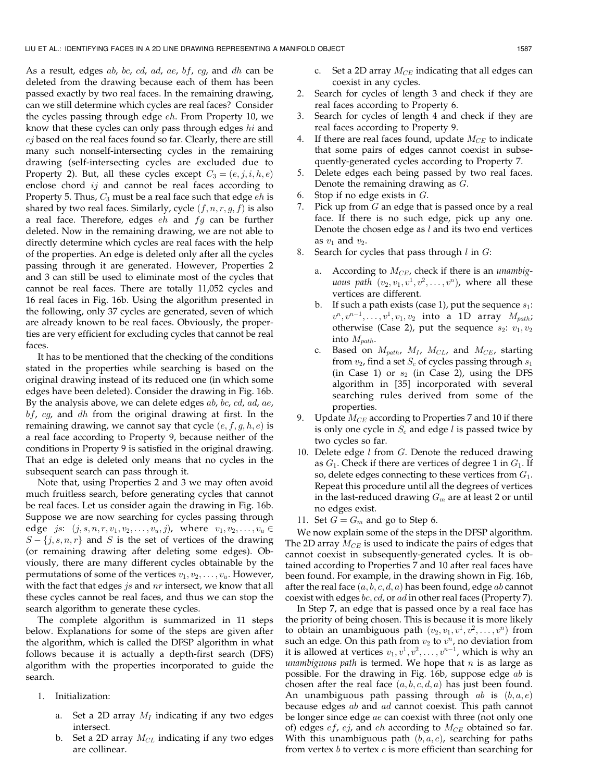As a result, edges ab, bc, cd, ad, ae, bf, cg, and dh can be deleted from the drawing because each of them has been passed exactly by two real faces. In the remaining drawing, can we still determine which cycles are real faces? Consider the cycles passing through edge *eh*. From Property 10, we know that these cycles can only pass through edges hi and  $ej$  based on the real faces found so far. Clearly, there are still many such nonself-intersecting cycles in the remaining drawing (self-intersecting cycles are excluded due to Property 2). But, all these cycles except  $C_3 = (e, j, i, h, e)$ enclose chord ij and cannot be real faces according to Property 5. Thus,  $C_3$  must be a real face such that edge  $eh$  is shared by two real faces. Similarly, cycle  $(f, n, r, g, f)$  is also a real face. Therefore, edges  $eh$  and  $fg$  can be further deleted. Now in the remaining drawing, we are not able to directly determine which cycles are real faces with the help of the properties. An edge is deleted only after all the cycles passing through it are generated. However, Properties 2 and 3 can still be used to eliminate most of the cycles that cannot be real faces. There are totally 11,052 cycles and 16 real faces in Fig. 16b. Using the algorithm presented in the following, only 37 cycles are generated, seven of which are already known to be real faces. Obviously, the properties are very efficient for excluding cycles that cannot be real faces.

It has to be mentioned that the checking of the conditions stated in the properties while searching is based on the original drawing instead of its reduced one (in which some edges have been deleted). Consider the drawing in Fig. 16b. By the analysis above, we can delete edges  $ab$ ,  $bc$ ,  $cd$ ,  $ad$ ,  $ae$ ,  $bf, cg, and dh$  from the original drawing at first. In the remaining drawing, we cannot say that cycle  $(e, f, g, h, e)$  is a real face according to Property 9, because neither of the conditions in Property 9 is satisfied in the original drawing. That an edge is deleted only means that no cycles in the subsequent search can pass through it.

Note that, using Properties 2 and 3 we may often avoid much fruitless search, before generating cycles that cannot be real faces. Let us consider again the drawing in Fig. 16b. Suppose we are now searching for cycles passing through edge *js*:  $(j, s, n, r, v_1, v_2, \ldots, v_u, j)$ , where  $v_1, v_2, \ldots, v_u \in$  $S - \{j, s, n, r\}$  and S is the set of vertices of the drawing (or remaining drawing after deleting some edges). Obviously, there are many different cycles obtainable by the permutations of some of the vertices  $v_1, v_2, \ldots, v_u$ . However, with the fact that edges *js* and  $nr$  intersect, we know that all these cycles cannot be real faces, and thus we can stop the search algorithm to generate these cycles.

The complete algorithm is summarized in 11 steps below. Explanations for some of the steps are given after the algorithm, which is called the DFSP algorithm in what follows because it is actually a depth-first search (DFS) algorithm with the properties incorporated to guide the search.

- 1. Initialization:
	- Set a 2D array  $M_I$  indicating if any two edges intersect.
	- b. Set a 2D array  $M_{CL}$  indicating if any two edges are collinear.
- c. Set a 2D array  $M_{CE}$  indicating that all edges can coexist in any cycles.
- 2. Search for cycles of length 3 and check if they are real faces according to Property 6.
- Search for cycles of length 4 and check if they are real faces according to Property 9.
- 4. If there are real faces found, update  $M_{CE}$  to indicate that some pairs of edges cannot coexist in subsequently-generated cycles according to Property 7.
- 5. Delete edges each being passed by two real faces. Denote the remaining drawing as G.
- 6. Stop if no edge exists in  $G$ .
- 7. Pick up from  $G$  an edge that is passed once by a real face. If there is no such edge, pick up any one. Denote the chosen edge as  $l$  and its two end vertices as  $v_1$  and  $v_2$ .
- 8. Search for cycles that pass through  $l$  in  $G$ :
	- a. According to  $M_{CE}$ , check if there is an unambig*uous path*  $(v_2, v_1, v^1, v^2, \ldots, v^n)$ , where all these vertices are different.
	- b. If such a path exists (case 1), put the sequence  $s_1$ :  $v^n, v^{n-1}, \ldots, v^1, v_1, v_2$  into a 1D array  $M_{path}$ ; otherwise (Case 2), put the sequence  $s_2$ :  $v_1, v_2$ into  $M_{path}$ .
	- c. Based on  $M_{path}$ ,  $M_I$ ,  $M_{CL}$ , and  $M_{CE}$ , starting from  $v_2$ , find a set  $S_c$  of cycles passing through  $s_1$ (in Case 1) or  $s_2$  (in Case 2), using the DFS algorithm in [35] incorporated with several searching rules derived from some of the properties.
- 9. Update  $M_{CE}$  according to Properties 7 and 10 if there is only one cycle in  $S_c$  and edge  $l$  is passed twice by two cycles so far.
- 10. Delete edge  $l$  from  $G$ . Denote the reduced drawing as  $G_1$ . Check if there are vertices of degree 1 in  $G_1$ . If so, delete edges connecting to these vertices from  $G_1$ . Repeat this procedure until all the degrees of vertices in the last-reduced drawing  $G_m$  are at least 2 or until no edges exist.
- 11. Set  $G = G_m$  and go to Step 6.

We now explain some of the steps in the DFSP algorithm. The 2D array  $M_{CE}$  is used to indicate the pairs of edges that cannot coexist in subsequently-generated cycles. It is obtained according to Properties 7 and 10 after real faces have been found. For example, in the drawing shown in Fig. 16b, after the real face  $(a, b, c, d, a)$  has been found, edge ab cannot coexist with edges bc; cd, or ad in other real faces (Property 7).

In Step 7, an edge that is passed once by a real face has the priority of being chosen. This is because it is more likely to obtain an unambiguous path  $(v_2, v_1, v^1, v^2, \ldots, v^n)$  from such an edge. On this path from  $v_2$  to  $v^n$ , no deviation from it is allowed at vertices  $v_1, v^1, v^2, \ldots, v^{n-1}$ , which is why an unambiguous path is termed. We hope that  $n$  is as large as possible. For the drawing in Fig. 16b, suppose edge ab is chosen after the real face  $(a, b, c, d, a)$  has just been found. An unambiguous path passing through ab is  $(b, a, e)$ because edges ab and ad cannot coexist. This path cannot be longer since edge ae can coexist with three (not only one of) edges  $ef$ ,  $ej$ , and  $eh$  according to  $M_{CE}$  obtained so far. With this unambiguous path  $(b, a, e)$ , searching for paths from vertex  $b$  to vertex  $e$  is more efficient than searching for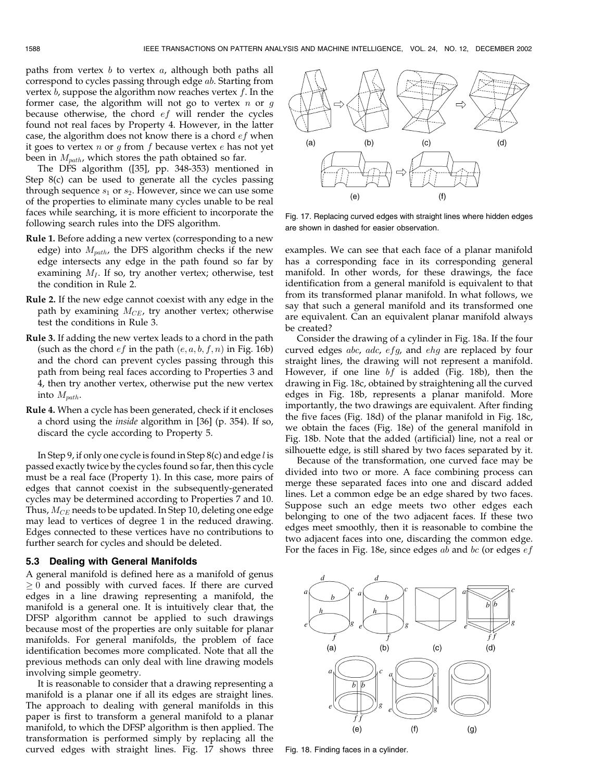paths from vertex  $b$  to vertex  $a$ , although both paths all correspond to cycles passing through edge ab. Starting from vertex  $b$ , suppose the algorithm now reaches vertex  $f$ . In the former case, the algorithm will not go to vertex  $n$  or  $g$ because otherwise, the chord  $ef$  will render the cycles found not real faces by Property 4. However, in the latter case, the algorithm does not know there is a chord  $ef$  when it goes to vertex  $n$  or  $g$  from  $f$  because vertex  $e$  has not yet been in  $M_{path}$ , which stores the path obtained so far.

The DFS algorithm ([35], pp. 348-353) mentioned in Step 8(c) can be used to generate all the cycles passing through sequence  $s_1$  or  $s_2$ . However, since we can use some of the properties to eliminate many cycles unable to be real faces while searching, it is more efficient to incorporate the following search rules into the DFS algorithm.

- **Rule 1.** Before adding a new vertex (corresponding to a new edge) into  $M_{path}$ , the DFS algorithm checks if the new edge intersects any edge in the path found so far by examining  $M_I$ . If so, try another vertex; otherwise, test the condition in Rule 2.
- Rule 2. If the new edge cannot coexist with any edge in the path by examining  $M_{CE}$ , try another vertex; otherwise test the conditions in Rule 3.
- Rule 3. If adding the new vertex leads to a chord in the path (such as the chord  $ef$  in the path  $(e, a, b, f, n)$  in Fig. 16b) and the chord can prevent cycles passing through this path from being real faces according to Properties 3 and 4, then try another vertex, otherwise put the new vertex into  $M_{path}$ .
- Rule 4. When a cycle has been generated, check if it encloses a chord using the inside algorithm in [36] (p. 354). If so, discard the cycle according to Property 5.

In Step 9, if only one cycle is found in Step  $8(c)$  and edge l is passed exactly twice by the cycles found so far, then this cycle must be a real face (Property 1). In this case, more pairs of edges that cannot coexist in the subsequently-generated cycles may be determined according to Properties 7 and 10. Thus,  $M_{CE}$  needs to be updated. In Step 10, deleting one edge may lead to vertices of degree 1 in the reduced drawing. Edges connected to these vertices have no contributions to further search for cycles and should be deleted.

#### 5.3 Dealing with General Manifolds

A general manifold is defined here as a manifold of genus  $\geq$  0 and possibly with curved faces. If there are curved edges in a line drawing representing a manifold, the manifold is a general one. It is intuitively clear that, the DFSP algorithm cannot be applied to such drawings because most of the properties are only suitable for planar manifolds. For general manifolds, the problem of face identification becomes more complicated. Note that all the previous methods can only deal with line drawing models involving simple geometry.

It is reasonable to consider that a drawing representing a manifold is a planar one if all its edges are straight lines. The approach to dealing with general manifolds in this paper is first to transform a general manifold to a planar manifold, to which the DFSP algorithm is then applied. The transformation is performed simply by replacing all the curved edges with straight lines. Fig. 17 shows three



Fig. 17. Replacing curved edges with straight lines where hidden edges are shown in dashed for easier observation.

examples. We can see that each face of a planar manifold has a corresponding face in its corresponding general manifold. In other words, for these drawings, the face identification from a general manifold is equivalent to that from its transformed planar manifold. In what follows, we say that such a general manifold and its transformed one are equivalent. Can an equivalent planar manifold always be created?

Consider the drawing of a cylinder in Fig. 18a. If the four curved edges  $abc$ ,  $adc$ ,  $efg$ , and  $ehg$  are replaced by four straight lines, the drawing will not represent a manifold. However, if one line  $bf$  is added (Fig. 18b), then the drawing in Fig. 18c, obtained by straightening all the curved edges in Fig. 18b, represents a planar manifold. More importantly, the two drawings are equivalent. After finding the five faces (Fig. 18d) of the planar manifold in Fig. 18c, we obtain the faces (Fig. 18e) of the general manifold in Fig. 18b. Note that the added (artificial) line, not a real or silhouette edge, is still shared by two faces separated by it.

Because of the transformation, one curved face may be divided into two or more. A face combining process can merge these separated faces into one and discard added lines. Let a common edge be an edge shared by two faces. Suppose such an edge meets two other edges each belonging to one of the two adjacent faces. If these two edges meet smoothly, then it is reasonable to combine the two adjacent faces into one, discarding the common edge. For the faces in Fig. 18e, since edges  $ab$  and  $bc$  (or edges  $ef$ 



Fig. 18. Finding faces in a cylinder.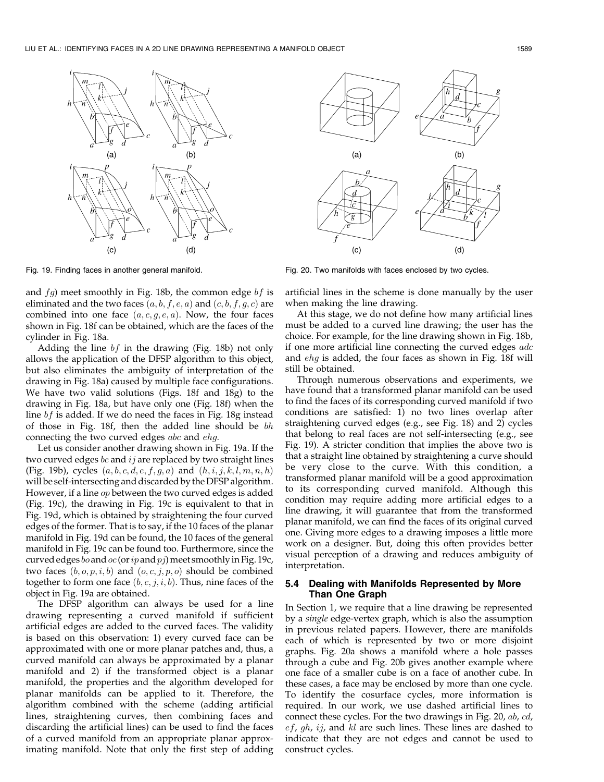

and  $fg$ ) meet smoothly in Fig. 18b, the common edge  $bf$  is eliminated and the two faces  $(a, b, f, e, a)$  and  $(c, b, f, g, c)$  are combined into one face  $(a, c, g, e, a)$ . Now, the four faces shown in Fig. 18f can be obtained, which are the faces of the cylinder in Fig. 18a.

Adding the line  $bf$  in the drawing (Fig. 18b) not only allows the application of the DFSP algorithm to this object, but also eliminates the ambiguity of interpretation of the drawing in Fig. 18a) caused by multiple face configurations. We have two valid solutions (Figs. 18f and 18g) to the drawing in Fig. 18a, but have only one (Fig. 18f) when the line bf is added. If we do need the faces in Fig. 18g instead of those in Fig. 18f, then the added line should be  $bh$ connecting the two curved edges *abc* and *ehg*.

Let us consider another drawing shown in Fig. 19a. If the two curved edges  $bc$  and  $ij$  are replaced by two straight lines (Fig. 19b), cycles  $(a, b, c, d, e, f, g, a)$  and  $(h, i, j, k, l, m, n, h)$ will be self-intersecting and discarded by the DFSP algorithm. However, if a line op between the two curved edges is added (Fig. 19c), the drawing in Fig. 19c is equivalent to that in Fig. 19d, which is obtained by straightening the four curved edges of the former. That is to say, if the 10 faces of the planar manifold in Fig. 19d can be found, the 10 faces of the general manifold in Fig. 19c can be found too. Furthermore, since the curved edges bo and  $oc$  (or ip and pj) meet smoothly in Fig. 19c, two faces  $(b, o, p, i, b)$  and  $(o, c, j, p, o)$  should be combined together to form one face  $(b, c, j, i, b)$ . Thus, nine faces of the object in Fig. 19a are obtained.

The DFSP algorithm can always be used for a line drawing representing a curved manifold if sufficient artificial edges are added to the curved faces. The validity is based on this observation: 1) every curved face can be approximated with one or more planar patches and, thus, a curved manifold can always be approximated by a planar manifold and 2) if the transformed object is a planar manifold, the properties and the algorithm developed for planar manifolds can be applied to it. Therefore, the algorithm combined with the scheme (adding artificial lines, straightening curves, then combining faces and discarding the artificial lines) can be used to find the faces of a curved manifold from an appropriate planar approximating manifold. Note that only the first step of adding



Fig. 19. Finding faces in another general manifold. Fig. 20. Two manifolds with faces enclosed by two cycles.

artificial lines in the scheme is done manually by the user when making the line drawing.

At this stage, we do not define how many artificial lines must be added to a curved line drawing; the user has the choice. For example, for the line drawing shown in Fig. 18b, if one more artificial line connecting the curved edges  $adc$ and ehg is added, the four faces as shown in Fig. 18f will still be obtained.

Through numerous observations and experiments, we have found that a transformed planar manifold can be used to find the faces of its corresponding curved manifold if two conditions are satisfied: 1) no two lines overlap after straightening curved edges (e.g., see Fig. 18) and 2) cycles that belong to real faces are not self-intersecting (e.g., see Fig. 19). A stricter condition that implies the above two is that a straight line obtained by straightening a curve should be very close to the curve. With this condition, a transformed planar manifold will be a good approximation to its corresponding curved manifold. Although this condition may require adding more artificial edges to a line drawing, it will guarantee that from the transformed planar manifold, we can find the faces of its original curved one. Giving more edges to a drawing imposes a little more work on a designer. But, doing this often provides better visual perception of a drawing and reduces ambiguity of interpretation.

## 5.4 Dealing with Manifolds Represented by More Than One Graph

In Section 1, we require that a line drawing be represented by a single edge-vertex graph, which is also the assumption in previous related papers. However, there are manifolds each of which is represented by two or more disjoint graphs. Fig. 20a shows a manifold where a hole passes through a cube and Fig. 20b gives another example where one face of a smaller cube is on a face of another cube. In these cases, a face may be enclosed by more than one cycle. To identify the cosurface cycles, more information is required. In our work, we use dashed artificial lines to connect these cycles. For the two drawings in Fig. 20, ab, cd,  $ef$ ,  $gh$ ,  $ij$ , and  $kl$  are such lines. These lines are dashed to indicate that they are not edges and cannot be used to construct cycles.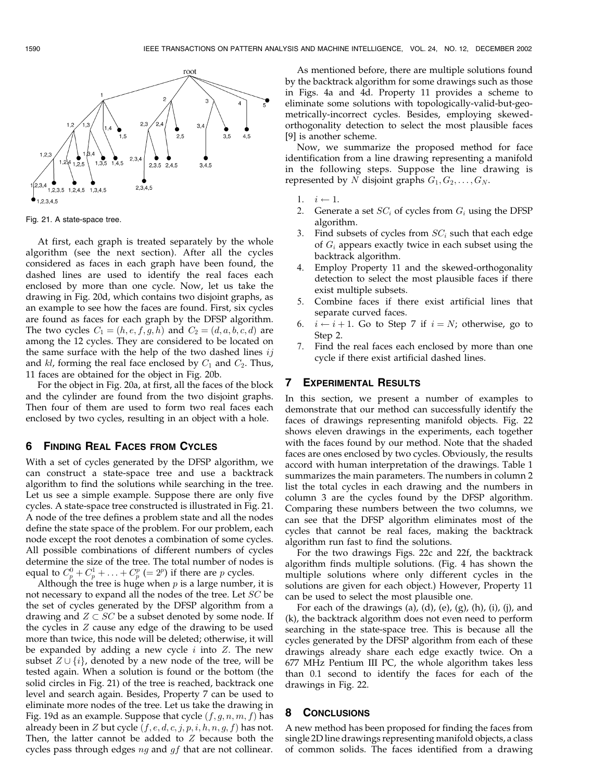

Fig. 21. A state-space tree.

At first, each graph is treated separately by the whole algorithm (see the next section). After all the cycles considered as faces in each graph have been found, the dashed lines are used to identify the real faces each enclosed by more than one cycle. Now, let us take the drawing in Fig. 20d, which contains two disjoint graphs, as an example to see how the faces are found. First, six cycles are found as faces for each graph by the DFSP algorithm. The two cycles  $C_1 = (h, e, f, g, h)$  and  $C_2 = (d, a, b, c, d)$  are among the 12 cycles. They are considered to be located on the same surface with the help of the two dashed lines  $ij$ and  $kl$ , forming the real face enclosed by  $C_1$  and  $C_2$ . Thus, 11 faces are obtained for the object in Fig. 20b.

For the object in Fig. 20a, at first, all the faces of the block and the cylinder are found from the two disjoint graphs. Then four of them are used to form two real faces each enclosed by two cycles, resulting in an object with a hole.

## 6 FINDING REAL FACES FROM CYCLES

With a set of cycles generated by the DFSP algorithm, we can construct a state-space tree and use a backtrack algorithm to find the solutions while searching in the tree. Let us see a simple example. Suppose there are only five cycles. A state-space tree constructed is illustrated in Fig. 21. A node of the tree defines a problem state and all the nodes define the state space of the problem. For our problem, each node except the root denotes a combination of some cycles. All possible combinations of different numbers of cycles determine the size of the tree. The total number of nodes is equal to  $C_p^0 + C_p^1 + \ldots + C_p^p (= 2^p)$  if there are p cycles.

Although the tree is huge when  $p$  is a large number, it is not necessary to expand all the nodes of the tree. Let SC be the set of cycles generated by the DFSP algorithm from a drawing and  $Z \subset SC$  be a subset denoted by some node. If the cycles in  $Z$  cause any edge of the drawing to be used more than twice, this node will be deleted; otherwise, it will be expanded by adding a new cycle  $i$  into  $Z$ . The new subset  $Z \cup \{i\}$ , denoted by a new node of the tree, will be tested again. When a solution is found or the bottom (the solid circles in Fig. 21) of the tree is reached, backtrack one level and search again. Besides, Property 7 can be used to eliminate more nodes of the tree. Let us take the drawing in Fig. 19d as an example. Suppose that cycle  $(f, g, n, m, f)$  has already been in  $Z$  but cycle  $(f, e, d, c, j, p, i, h, n, g, f)$  has not. Then, the latter cannot be added to  $Z$  because both the cycles pass through edges  $ng$  and  $gf$  that are not collinear.

As mentioned before, there are multiple solutions found by the backtrack algorithm for some drawings such as those in Figs. 4a and 4d. Property 11 provides a scheme to eliminate some solutions with topologically-valid-but-geometrically-incorrect cycles. Besides, employing skewedorthogonality detection to select the most plausible faces [9] is another scheme.

Now, we summarize the proposed method for face identification from a line drawing representing a manifold in the following steps. Suppose the line drawing is represented by N disjoint graphs  $G_1, G_2, \ldots, G_N$ .

- 1.  $i \leftarrow 1$ .
- 2. Generate a set  $SC_i$  of cycles from  $G_i$  using the DFSP algorithm.
- 3. Find subsets of cycles from  $SC<sub>i</sub>$  such that each edge of  $G_i$  appears exactly twice in each subset using the backtrack algorithm.
- 4. Employ Property 11 and the skewed-orthogonality detection to select the most plausible faces if there exist multiple subsets.
- 5. Combine faces if there exist artificial lines that separate curved faces.
- 6.  $i \leftarrow i + 1$ . Go to Step 7 if  $i = N$ ; otherwise, go to Step 2.
- Find the real faces each enclosed by more than one cycle if there exist artificial dashed lines.

## 7 EXPERIMENTAL RESULTS

In this section, we present a number of examples to demonstrate that our method can successfully identify the faces of drawings representing manifold objects. Fig. 22 shows eleven drawings in the experiments, each together with the faces found by our method. Note that the shaded faces are ones enclosed by two cycles. Obviously, the results accord with human interpretation of the drawings. Table 1 summarizes the main parameters. The numbers in column 2 list the total cycles in each drawing and the numbers in column 3 are the cycles found by the DFSP algorithm. Comparing these numbers between the two columns, we can see that the DFSP algorithm eliminates most of the cycles that cannot be real faces, making the backtrack algorithm run fast to find the solutions.

For the two drawings Figs. 22c and 22f, the backtrack algorithm finds multiple solutions. (Fig. 4 has shown the multiple solutions where only different cycles in the solutions are given for each object.) However, Property 11 can be used to select the most plausible one.

For each of the drawings (a), (d), (e), (g), (h), (i), (j), and (k), the backtrack algorithm does not even need to perform searching in the state-space tree. This is because all the cycles generated by the DFSP algorithm from each of these drawings already share each edge exactly twice. On a 677 MHz Pentium III PC, the whole algorithm takes less than 0.1 second to identify the faces for each of the drawings in Fig. 22.

## 8 CONCLUSIONS

A new method has been proposed for finding the faces from single 2D line drawings representing manifold objects, a class of common solids. The faces identified from a drawing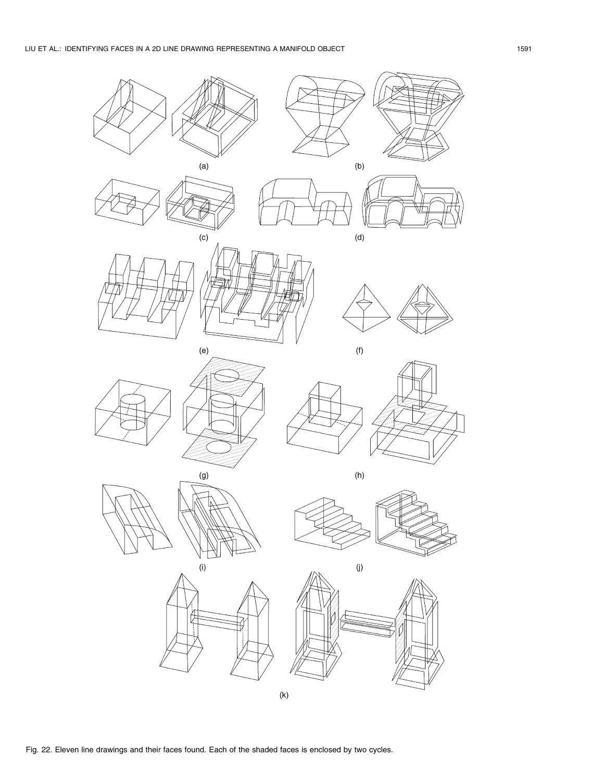

Fig. 22. Eleven line drawings and their faces found. Each of the shaded faces is enclosed by two cycles.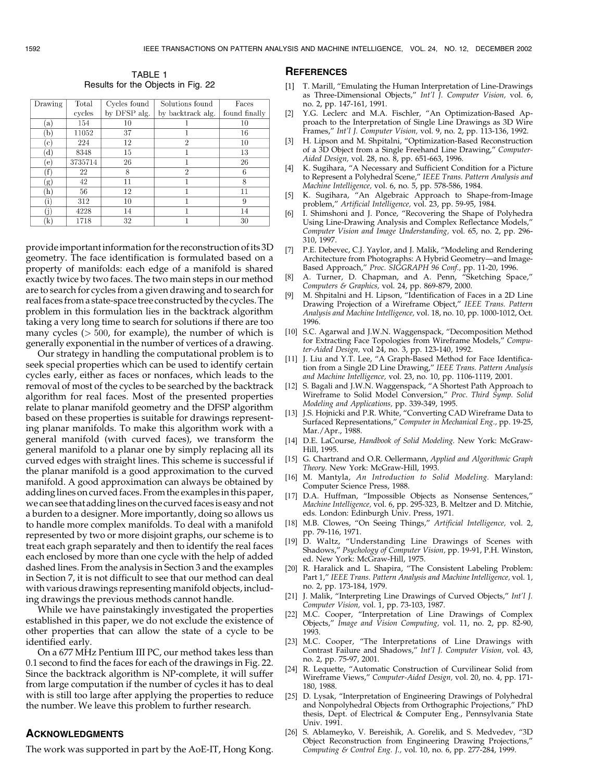| Drawing           | Total   | Cycles found | Solutions found   | Faces         |
|-------------------|---------|--------------|-------------------|---------------|
|                   | cycles  | by DFSP alg. | by backtrack alg. | found finally |
| a)                | 154     | 10           |                   | 10            |
| b)                | 11052   | 37           |                   | 16            |
| $\rm ^{\prime}c)$ | 224     | 12           | 2                 | 10            |
| (d)               | 8348    | 15           |                   | 13            |
| e)                | 3735714 | 26           |                   | 26            |
| 'f)               | 22      | 8            | 2                 | 6             |
| (g)               | 42      | 11           |                   | 8             |
| (h)               | 56      | 12           |                   | 11            |
|                   | 312     | 10           |                   | 9             |
|                   | 4228    | 14           |                   | 14            |
| k)                | 1718    | 32           |                   | 30            |

TABLE 1 Results for the Objects in Fig. 22

provide important information for the reconstruction of its 3D geometry. The face identification is formulated based on a property of manifolds: each edge of a manifold is shared exactly twice by two faces. The two main steps in our method are to search for cycles from a given drawing and to search for real faces from a state-space tree constructed by the cycles. The problem in this formulation lies in the backtrack algorithm taking a very long time to search for solutions if there are too many cycles  $($  > 500, for example), the number of which is generally exponential in the number of vertices of a drawing.

Our strategy in handling the computational problem is to seek special properties which can be used to identify certain cycles early, either as faces or nonfaces, which leads to the removal of most of the cycles to be searched by the backtrack algorithm for real faces. Most of the presented properties relate to planar manifold geometry and the DFSP algorithm based on these properties is suitable for drawings representing planar manifolds. To make this algorithm work with a general manifold (with curved faces), we transform the general manifold to a planar one by simply replacing all its curved edges with straight lines. This scheme is successful if the planar manifold is a good approximation to the curved manifold. A good approximation can always be obtained by adding lines on curved faces. From the examples in this paper, we can see that adding lines on the curved faces is easy and not a burden to a designer. More importantly, doing so allows us to handle more complex manifolds. To deal with a manifold represented by two or more disjoint graphs, our scheme is to treat each graph separately and then to identify the real faces each enclosed by more than one cycle with the help of added dashed lines. From the analysis in Section 3 and the examples in Section 7, it is not difficult to see that our method can deal with various drawings representing manifold objects, including drawings the previous methods cannot handle.

While we have painstakingly investigated the properties established in this paper, we do not exclude the existence of other properties that can allow the state of a cycle to be identified early.

On a 677 MHz Pentium III PC, our method takes less than 0.1 second to find the faces for each of the drawings in Fig. 22. Since the backtrack algorithm is NP-complete, it will suffer from large computation if the number of cycles it has to deal with is still too large after applying the properties to reduce the number. We leave this problem to further research.

## ACKNOWLEDGMENTS

The work was supported in part by the AoE-IT, Hong Kong.

## **REFERENCES**

- [1] T. Marill, "Emulating the Human Interpretation of Line-Drawings as Three-Dimensional Objects," Int'l J. Computer Vision, vol. 6, no. 2, pp. 147-161, 1991.
- [2] Y.G. Leclerc and M.A. Fischler, "An Optimization-Based Approach to the Interpretation of Single Line Drawings as 3D Wire Frames," Int'l J. Computer Vision, vol. 9, no. 2, pp. 113-136, 1992.
- [3] H. Lipson and M. Shpitalni, "Optimization-Based Reconstruction of a 3D Object from a Single Freehand Line Drawing," Computer-Aided Design, vol. 28, no. 8, pp. 651-663, 1996.
- [4] K. Sugihara, "A Necessary and Sufficient Condition for a Picture to Represent a Polyhedral Scene," IEEE Trans. Pattern Analysis and Machine Intelligence, vol. 6, no. 5, pp. 578-586, 1984.
- [5] K. Sugihara, "An Algebraic Approach to Shape-from-Image problem," Artificial Intelligence, vol. 23, pp. 59-95, 1984.
	- I. Shimshoni and J. Ponce, "Recovering the Shape of Polyhedra Using Line-Drawing Analysis and Complex Reflectance Models," Computer Vision and Image Understanding, vol. 65, no. 2, pp. 296- 310, 1997.
- [7] P.E. Debevec, C.J. Yaylor, and J. Malik, "Modeling and Rendering Architecture from Photographs: A Hybrid Geometry—and Image-Based Approach," Proc. SIGGRAPH 96 Conf., pp. 11-20, 1996.
- A. Turner, D. Chapman, and A. Penn, "Sketching Space," Computers & Graphics, vol. 24, pp. 869-879, 2000.
- M. Shpitalni and H. Lipson, "Identification of Faces in a 2D Line Drawing Projection of a Wireframe Object," IEEE Trans. Pattern Analysis and Machine Intelligence, vol. 18, no. 10, pp. 1000-1012, Oct. 1996.
- [10] S.C. Agarwal and J.W.N. Waggenspack, "Decomposition Method for Extracting Face Topologies from Wireframe Models," Computer-Aided Design, vol 24, no. 3, pp. 123-140, 1992.
- [11] J. Liu and Y.T. Lee, "A Graph-Based Method for Face Identification from a Single 2D Line Drawing," IEEE Trans. Pattern Analysis and Machine Intelligence, vol. 23, no. 10, pp. 1106-1119, 2001.
- [12] S. Bagali and J.W.N. Waggenspack, "A Shortest Path Approach to Wireframe to Solid Model Conversion," Proc. Third Symp. Solid Modeling and Applications, pp. 339-349, 1995.
- [13] J.S. Hojnicki and P.R. White, "Converting CAD Wireframe Data to Surfaced Representations," Computer in Mechanical Eng., pp. 19-25, Mar./Apr., 1988.
- [14] D.E. LaCourse, Handbook of Solid Modeling. New York: McGraw-Hill, 1995.
- [15] G. Chartrand and O.R. Oellermann, Applied and Algorithmic Graph Theory. New York: McGraw-Hill, 1993.
- [16] M. Mantyla, An Introduction to Solid Modeling. Maryland: Computer Science Press, 1988.
- [17] D.A. Huffman, "Impossible Objects as Nonsense Sentences," Machine Intelligence, vol. 6, pp. 295-323, B. Meltzer and D. Mitchie, eds. London: Edinburgh Univ. Press, 1971.
- [18] M.B. Clowes, "On Seeing Things," Artificial Intelligence, vol. 2, pp. 79-116, 1971.
- D. Waltz, "Understanding Line Drawings of Scenes with Shadows," Psychology of Computer Vision, pp. 19-91, P.H. Winston, ed. New York: McGraw-Hill, 1975.
- [20] R. Haralick and L. Shapira, "The Consistent Labeling Problem: Part 1," IEEE Trans. Pattern Analysis and Machine Intelligence, vol. 1, no. 2, pp. 173-184, 1979.
- [21] J. Malik, "Interpreting Line Drawings of Curved Objects," Int'l J. Computer Vision, vol. 1, pp. 73-103, 1987.
- M.C. Cooper, "Interpretation of Line Drawings of Complex Objects," Image and Vision Computing, vol. 11, no. 2, pp. 82-90, 1993.
- [23] M.C. Cooper, "The Interpretations of Line Drawings with Contrast Failure and Shadows," Int'l J. Computer Vision, vol. 43, no. 2, pp. 75-97, 2001.
- R. Lequette, "Automatic Construction of Curvilinear Solid from Wireframe Views," Computer-Aided Design, vol. 20, no. 4, pp. 171- 180, 1988.
- [25] D. Lysak, "Interpretation of Engineering Drawings of Polyhedral and Nonpolyhedral Objects from Orthographic Projections," PhD thesis, Dept. of Electrical & Computer Eng., Pennsylvania State Univ. 1991.
- [26] S. Ablameyko, V. Bereishik, A. Gorelik, and S. Medvedev, "3D Object Reconstruction from Engineering Drawing Projections," Computing & Control Eng. J., vol. 10, no. 6, pp. 277-284, 1999.